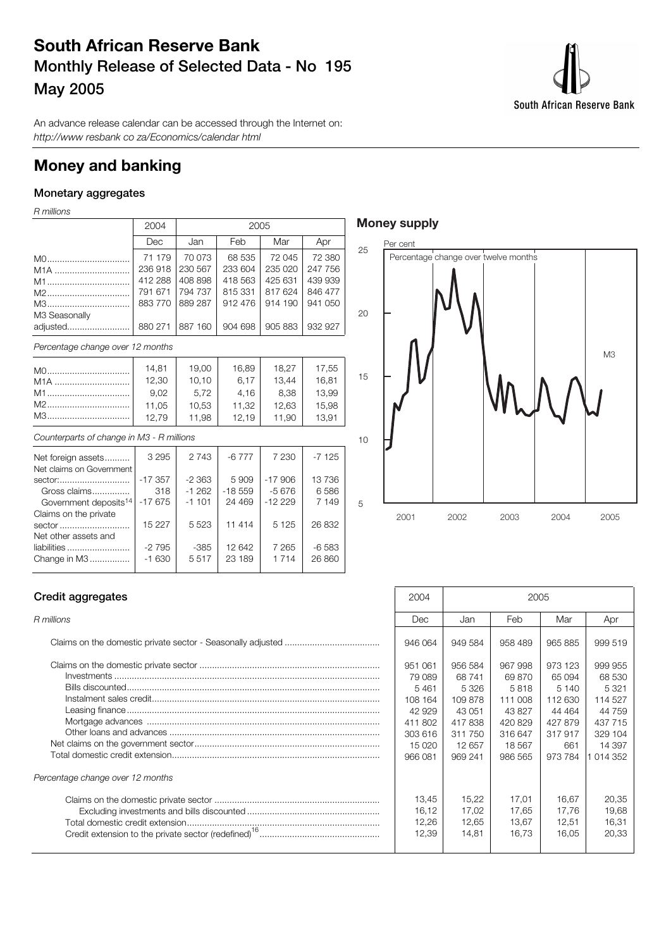## **South African Reserve Bank Monthly Release of Selected Data - No 195 May 2005**



An advance release calendar can be accessed through the Internet on: http://www resbank co za/Economics/calendar html

## **Money and banking**

### **Monetary aggregates**

R millions

| 2004                             | 2005    |         |         |         |  |  |  |
|----------------------------------|---------|---------|---------|---------|--|--|--|
| Dec                              | Jan     | Feb     | Mar     | Apr     |  |  |  |
| 71 179                           | 70 073  | 68 535  | 72 045  | 72 380  |  |  |  |
| 236918                           | 230 567 | 233 604 | 235 020 | 247 756 |  |  |  |
| 412 288                          | 408 898 | 418 563 | 425 631 | 439 939 |  |  |  |
| 791 671                          | 794 737 | 815 331 | 817624  | 846 477 |  |  |  |
| 883770                           | 889 287 | 912 476 | 914 190 | 941 050 |  |  |  |
|                                  |         |         |         |         |  |  |  |
| 880 271                          | 887 160 | 904 698 | 905 883 | 932 927 |  |  |  |
| Percentage change over 12 months |         |         |         |         |  |  |  |
| 14,81                            | 19,00   | 16,89   | 18,27   | 17,55   |  |  |  |
| 12,30                            | 10,10   | 6,17    | 13.44   | 16,81   |  |  |  |
| 9,02                             | 5,72    | 4,16    | 8.38    | 13,99   |  |  |  |
| 11,05                            | 10,53   | 11,32   | 12,63   | 15,98   |  |  |  |
| 12,79                            | 11,98   | 12,19   | 11,90   | 13,91   |  |  |  |
|                                  |         |         |         |         |  |  |  |

| Counterparts of change in M3 - R millions |  |
|-------------------------------------------|--|
|-------------------------------------------|--|

| Net foreign assets                | 3 2 9 5   | 2 7 4 3  | $-6777$  | 7 2 3 0  | $-7125$ |  |
|-----------------------------------|-----------|----------|----------|----------|---------|--|
| Net claims on Government          |           |          |          |          |         |  |
| sector:                           | $-17.357$ | $-2.363$ | 5909     | $-17906$ | 13736   |  |
| Gross claims                      | 318       | $-1262$  | $-18559$ | $-5676$  | 6586    |  |
| Government deposits <sup>14</sup> | $-17675$  | $-1101$  | 24 4 6 9 | $-12229$ | 7 149   |  |
| Claims on the private             |           |          |          |          |         |  |
| sector                            | 15 2 2 7  | 5523     | 11 4 14  | 5 1 2 5  | 26 832  |  |
| Net other assets and              |           |          |          |          |         |  |
| liabilities                       | $-2795$   | -385     | 12 642   | 7 2 6 5  | -6 583  |  |
| Change in M3                      | $-1630$   | 5517     | 23 189   | 1 7 1 4  | 26 860  |  |
|                                   |           |          |          |          |         |  |

### **Money supply**



#### **Credit aggregates**

| Percentage change over 12 months |
|----------------------------------|
|                                  |

| Credit aggregates                | 2004                                                                                       | 2005                                                                                   |                                                                                           |                                                                                       |                                                                                              |
|----------------------------------|--------------------------------------------------------------------------------------------|----------------------------------------------------------------------------------------|-------------------------------------------------------------------------------------------|---------------------------------------------------------------------------------------|----------------------------------------------------------------------------------------------|
| R millions                       | Dec                                                                                        | Jan                                                                                    | Feb                                                                                       | Mar                                                                                   | Apr                                                                                          |
|                                  | 946 064                                                                                    | 949 584                                                                                | 958 489                                                                                   | 965 885                                                                               | 999 519                                                                                      |
|                                  | 951 061<br>79 089<br>5461<br>108 164<br>42 929<br>411 802<br>303 616<br>15 0 20<br>966 081 | 956 584<br>68741<br>5326<br>109878<br>43 051<br>417838<br>311 750<br>12 657<br>969 241 | 967 998<br>69 870<br>5818<br>111 008<br>43 827<br>420 829<br>316 647<br>18 567<br>986 565 | 973 123<br>65 094<br>5140<br>112 630<br>44 4 64<br>427879<br>317917<br>661<br>973 784 | 999 955<br>68 530<br>5 3 2 1<br>114 527<br>44 759<br>437 715<br>329 104<br>14 397<br>014 352 |
| Percentage change over 12 months |                                                                                            |                                                                                        |                                                                                           |                                                                                       |                                                                                              |
|                                  | 13,45<br>16,12<br>12.26<br>12,39                                                           | 15.22<br>17,02<br>12.65<br>14,81                                                       | 17.01<br>17,65<br>13.67<br>16,73                                                          | 16.67<br>17.76<br>12.51<br>16,05                                                      | 20,35<br>19,68<br>16.31<br>20,33                                                             |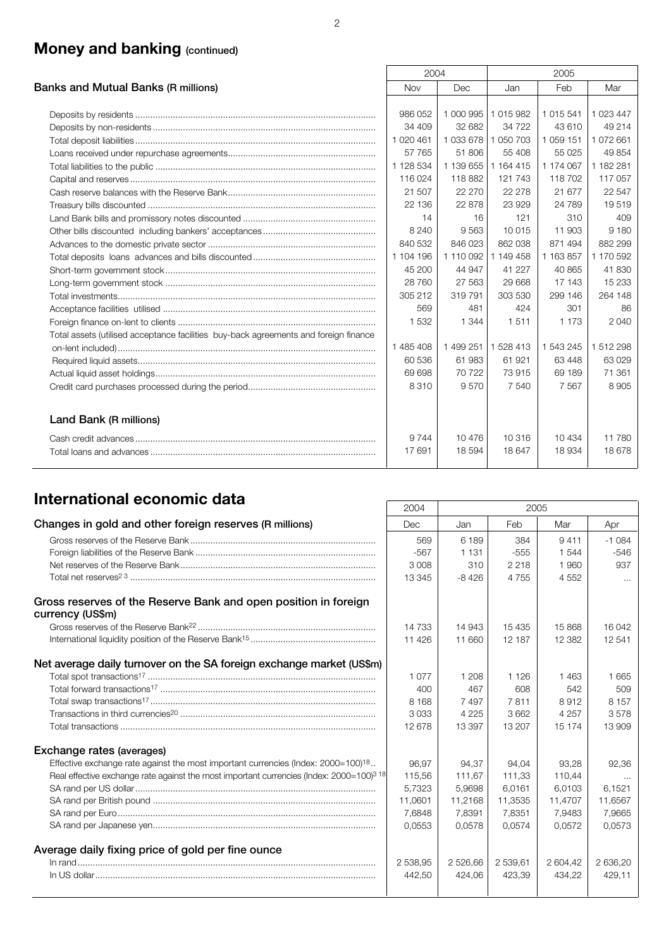## **Money and banking (continued)**

|                                                                                      | 2004       |                     |           | 2005          |           |
|--------------------------------------------------------------------------------------|------------|---------------------|-----------|---------------|-----------|
| Banks and Mutual Banks (R millions)                                                  | <b>Nov</b> | <b>Dec</b>          | Jan       | Feb           | Mar       |
|                                                                                      |            |                     |           |               |           |
|                                                                                      | 986 052    | 1 000 995           | 1015982   | 1015541       | 1 023 447 |
|                                                                                      | 34 409     | 32 682              | 34 722    | 43 610        | 49 214    |
|                                                                                      | 1 020 461  | 1 033 678 1 050 703 |           | 1 0 5 9 1 5 1 | 1 072 661 |
|                                                                                      | 57 765     | 51 806              | 55 408    | 55 0 25       | 49 854    |
|                                                                                      | 1 128 534  | 1 139 655           | 1 164 415 | 1 174 067     | 1 182 281 |
|                                                                                      | 116 024    | 118 882             | 121 743   | 118 702       | 117 057   |
|                                                                                      | 21 507     | 22 270              | 22 278    | 21 677        | 22 547    |
|                                                                                      | 22 136     | 22 878              | 23 929    | 24 789        | 19519     |
|                                                                                      | 14         | 16                  | 121       | 310           | 409       |
|                                                                                      | 8 2 4 0    | 9563                | 10 015    | 11 903        | 9 1 8 0   |
|                                                                                      | 840 532    | 846 023             | 862 038   | 871 494       | 882 299   |
|                                                                                      | 1 104 196  | 1 110 092           | 1 149 458 | 1 163 857     | 1 170 592 |
|                                                                                      | 45 200     | 44 947              | 41 227    | 40 865        | 41830     |
|                                                                                      | 28 760     | 27 563              | 29 668    | 17 143        | 15 233    |
|                                                                                      | 305 212    | 319791              | 303 530   | 299 146       | 264 148   |
|                                                                                      | 569        | 481                 | 424       | 301           | 86        |
|                                                                                      | 1532       | 1 3 4 4             | 1511      | 1 1 7 3       | 2 0 4 0   |
| Total assets (utilised acceptance facilities buy-back agreements and foreign finance |            |                     |           |               |           |
|                                                                                      | 1 485 408  | 1 499 251           | 1 528 413 | 1 543 245     | 1512298   |
|                                                                                      | 60 536     | 61983               | 61 921    | 63 448        | 63 0 29   |
|                                                                                      | 69 698     | 70 722              | 73 915    | 69 189        | 71 361    |
|                                                                                      | 8310       | 9570                | 7 540     | 7567          | 8905      |
| Land Bank (R millions)                                                               |            |                     |           |               |           |
|                                                                                      | 9 7 4 4    | 10476               | 10 316    | 10434         | 11 780    |
|                                                                                      | 17691      | 18 5 94             | 18 647    | 18 9 34       | 18678     |

## **International economic data** 2004 2005

|                                                                                                      | ZUU4     |          | ZUUJ     |          |          |
|------------------------------------------------------------------------------------------------------|----------|----------|----------|----------|----------|
| Changes in gold and other foreign reserves (R millions)                                              | Dec      | Jan      | Feb      | Mar      | Apr      |
|                                                                                                      | 569      | 6 189    | 384      | 9411     | $-1084$  |
|                                                                                                      | $-567$   | 1 1 3 1  | $-555$   | 1 544    | $-546$   |
|                                                                                                      | 3 0 0 8  | 310      | 2 2 1 8  | 1960     | 937      |
|                                                                                                      | 13 3 45  | $-8426$  | 4755     | 4 5 5 2  | $\cdots$ |
| Gross reserves of the Reserve Bank and open position in foreign<br>currency (US\$m)                  |          |          |          |          |          |
|                                                                                                      | 14 733   | 14 943   | 15 4 35  | 15 868   | 16 042   |
|                                                                                                      | 11 4 26  | 11 660   | 12 187   | 12 3 82  | 12541    |
| Net average daily turnover on the SA foreign exchange market (US\$m)                                 |          |          |          |          |          |
|                                                                                                      | 1077     | 1 208    | 1 1 2 6  | 1463     | 1665     |
|                                                                                                      | 400      | 467      | 608      | 542      | 509      |
|                                                                                                      | 8 1 6 8  | 7497     | 7811     | 8912     | 8 1 5 7  |
|                                                                                                      | 3033     | 4 2 2 5  | 3662     | 4 2 5 7  | 3578     |
|                                                                                                      | 12678    | 13 397   | 13 207   | 15 174   | 13 909   |
| Exchange rates (averages)                                                                            |          |          |          |          |          |
| Effective exchange rate against the most important currencies (Index: 2000=100) <sup>18</sup>        | 96.97    | 94.37    | 94.04    | 93.28    | 92.36    |
| Real effective exchange rate against the most important currencies (Index: 2000=100) <sup>3</sup> 18 | 115,56   | 111,67   | 111,33   | 110,44   | $\cdots$ |
|                                                                                                      | 5,7323   | 5,9698   | 6,0161   | 6,0103   | 6,1521   |
|                                                                                                      | 11,0601  | 11,2168  | 11,3535  | 11,4707  | 11,6567  |
|                                                                                                      | 7,6848   | 7,8391   | 7.8351   | 7.9483   | 7,9665   |
|                                                                                                      | 0.0553   | 0.0578   | 0.0574   | 0.0572   | 0,0573   |
| Average daily fixing price of gold per fine ounce                                                    |          |          |          |          |          |
|                                                                                                      | 2 538,95 | 2 526,66 | 2 539,61 | 2 604,42 | 2 636,20 |
|                                                                                                      | 442,50   | 424,06   | 423,39   | 434,22   | 429,11   |
|                                                                                                      |          |          |          |          |          |

 $\mathsf{r}$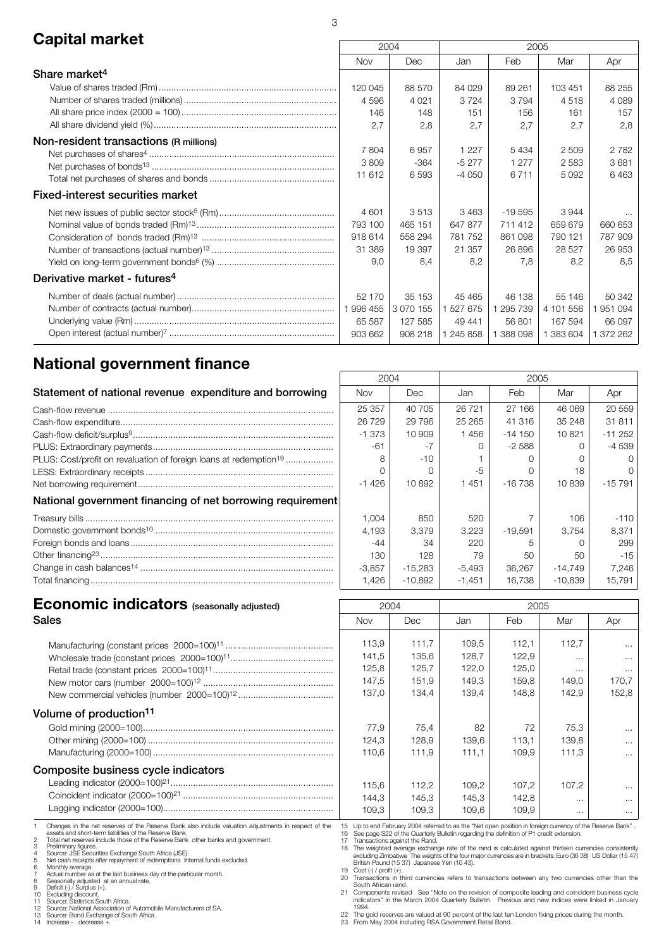## **Capital market** 2005 2005 2006 2005

|                                          |            | <b>2004</b><br>ZUUS |           |           |           |         |  |
|------------------------------------------|------------|---------------------|-----------|-----------|-----------|---------|--|
|                                          | <b>Nov</b> | <b>Dec</b>          | Jan       | Feb       | Mar       | Apr     |  |
| Share market <sup>4</sup>                |            |                     |           |           |           |         |  |
|                                          | 120 045    | 88 570              | 84 0 29   | 89 261    | 103 451   | 88 255  |  |
|                                          | 4596       | 4 0 2 1             | 3724      | 3 7 9 4   | 4518      | 4 0 8 9 |  |
|                                          | 146        | 148                 | 151       | 156       | 161       | 157     |  |
|                                          | 2,7        | 2,8                 | 2,7       | 2,7       | 2,7       | 2,8     |  |
| Non-resident transactions (R millions)   |            |                     |           |           |           |         |  |
|                                          | 7804       | 6957                | 1 2 2 7   | 5434      | 2 5 0 9   | 2782    |  |
|                                          | 3809       | $-364$              | $-5277$   | 1 2 7 7   | 2583      | 3681    |  |
|                                          | 11 612     | 6593                | $-4050$   | 6 7 1 1   | 5 0 9 2   | 6463    |  |
| <b>Fixed-interest securities market</b>  |            |                     |           |           |           |         |  |
|                                          | 4 601      | 3513                | 3463      | $-19595$  | 3944      |         |  |
|                                          | 793 100    | 465 151             | 647 877   | 711 412   | 659 679   | 660 653 |  |
|                                          | 918 614    | 558 294             | 781 752   | 861 098   | 790 121   | 787 909 |  |
|                                          | 31 389     | 19 397              | 21 357    | 26896     | 28 5 27   | 26 953  |  |
|                                          | 9,0        | 8,4                 | 8,2       | 7,8       | 8,2       | 8,5     |  |
| Derivative market - futures <sup>4</sup> |            |                     |           |           |           |         |  |
|                                          | 52 170     | 35 153              | 45 4 65   | 46 138    | 55 146    | 50 342  |  |
|                                          | 1996 455   | 3 0 7 0 1 5 5       | 527 675   | 295 739   | 4 101 556 | 951 094 |  |
|                                          | 65 587     | 127 585             | 49 441    | 56 801    | 167 594   | 66 097  |  |
|                                          | 903 662    | 908 218             | 1 245 858 | 1 388 098 | 383 604   | 372 262 |  |
|                                          |            |                     |           |           |           |         |  |

## **National government finance**

|                                                                               | 2004       |           | 2005     |            |           |          |  |
|-------------------------------------------------------------------------------|------------|-----------|----------|------------|-----------|----------|--|
| Statement of national revenue expenditure and borrowing                       | <b>Nov</b> | Dec.      | Jan      | Feb.       | Mar       | Apr      |  |
|                                                                               | 25 357     | 40 705    | 26 721   | 27 166     | 46 069    | 20 559   |  |
|                                                                               | 26729      | 29 7 9 6  | 25 265   | 41 316     | 35 248    | 31 811   |  |
|                                                                               | $-1.373$   | 10 909    | 1456     | $-14150$   | 10821     | $-11252$ |  |
|                                                                               | $-61$      |           |          | $-2.588$   |           | $-4539$  |  |
| PLUS: Cost/profit on revaluation of foreign loans at redemption <sup>19</sup> |            | $-10$     |          |            |           |          |  |
|                                                                               |            |           | -5       |            | 18        |          |  |
|                                                                               | -1426      | 10892     | 1451     | $-16\,738$ | 10839     | $-15791$ |  |
| National government financing of net borrowing requirement                    |            |           |          |            |           |          |  |
|                                                                               | 1,004      | 850       | 520      |            | 106       | $-110$   |  |
|                                                                               | 4,193      | 3,379     | 3,223    | -19.591    | 3.754     | 8,371    |  |
|                                                                               | $-44$      | -34       | 220      |            |           | 299      |  |
|                                                                               | 130        | 128       | 79       | 50         | 50        | $-15$    |  |
|                                                                               | $-3,857$   | $-15,283$ | -5,493   | 36.267     | -14,749   | 7.246    |  |
|                                                                               | 1,426      | $-10.892$ | $-1,451$ | 16.738     | $-10.839$ | 15,791   |  |

 $\Gamma$ 

# **Economic indicators** (seasonally adjusted) 2004 2005

| <b>Sales</b>                                                                                                                                                                                                                                                                                                                                                                                                                                                                                                                                                                                                                                                                                                                                                                                   | <b>Nov</b>                                                                                     | Dec                                         | Jan                                                                                                                                                                                                                                                                                                                                                                                                                                                                                                                                                                                                                                                                                                                                                                                                                                                                                                                    | Feb                                       | Mar                                             | Apr                                    |
|------------------------------------------------------------------------------------------------------------------------------------------------------------------------------------------------------------------------------------------------------------------------------------------------------------------------------------------------------------------------------------------------------------------------------------------------------------------------------------------------------------------------------------------------------------------------------------------------------------------------------------------------------------------------------------------------------------------------------------------------------------------------------------------------|------------------------------------------------------------------------------------------------|---------------------------------------------|------------------------------------------------------------------------------------------------------------------------------------------------------------------------------------------------------------------------------------------------------------------------------------------------------------------------------------------------------------------------------------------------------------------------------------------------------------------------------------------------------------------------------------------------------------------------------------------------------------------------------------------------------------------------------------------------------------------------------------------------------------------------------------------------------------------------------------------------------------------------------------------------------------------------|-------------------------------------------|-------------------------------------------------|----------------------------------------|
|                                                                                                                                                                                                                                                                                                                                                                                                                                                                                                                                                                                                                                                                                                                                                                                                | 113,9<br>141,5<br>125,8<br>147,5<br>137,0                                                      | 111.7<br>135,6<br>125,7<br>151.9<br>134,4   | 109.5<br>128,7<br>122,0<br>149.3<br>139,4                                                                                                                                                                                                                                                                                                                                                                                                                                                                                                                                                                                                                                                                                                                                                                                                                                                                              | 112.1<br>122,9<br>125,0<br>159.8<br>148,8 | 112.7<br>$\cdots$<br>$\cdots$<br>149.0<br>142,9 | $\cdots$<br>$\cdots$<br>170.7<br>152,8 |
| Volume of production <sup>11</sup>                                                                                                                                                                                                                                                                                                                                                                                                                                                                                                                                                                                                                                                                                                                                                             |                                                                                                |                                             |                                                                                                                                                                                                                                                                                                                                                                                                                                                                                                                                                                                                                                                                                                                                                                                                                                                                                                                        |                                           |                                                 |                                        |
|                                                                                                                                                                                                                                                                                                                                                                                                                                                                                                                                                                                                                                                                                                                                                                                                | 77,9<br>124,3<br>110,6                                                                         | 75.4<br>128,9<br>111.9                      | 82<br>139,6<br>111.1                                                                                                                                                                                                                                                                                                                                                                                                                                                                                                                                                                                                                                                                                                                                                                                                                                                                                                   | 72<br>113.1<br>109.9                      | 75.3<br>139.8<br>111.3                          | $\cdots$<br>$\cdots$<br>$\cdots$       |
| Composite business cycle indicators                                                                                                                                                                                                                                                                                                                                                                                                                                                                                                                                                                                                                                                                                                                                                            |                                                                                                |                                             |                                                                                                                                                                                                                                                                                                                                                                                                                                                                                                                                                                                                                                                                                                                                                                                                                                                                                                                        |                                           |                                                 |                                        |
|                                                                                                                                                                                                                                                                                                                                                                                                                                                                                                                                                                                                                                                                                                                                                                                                | 115,6<br>144,3<br>109,3                                                                        | 112,2<br>145,3<br>109,3                     | 109.2<br>145,3<br>109,6                                                                                                                                                                                                                                                                                                                                                                                                                                                                                                                                                                                                                                                                                                                                                                                                                                                                                                | 107.2<br>142,8<br>109.9                   | 107.2<br>$\cdots$<br>$\cdots$                   | .<br>$\cdots$<br>$\cdots$              |
| Changes in the net reserves of the Reserve Bank also include valuation adjustments in respect of the<br>assets and short-term liabilities of the Reserve Bank.<br>Total net reserves include those of the Reserve Bank other banks and government.<br>Preliminary figures.<br>Source: JSE Securities Exchange South Africa (JSE).<br>Net cash receipts after repayment of redemptions Internal funds excluded.<br>Monthly average.<br>Actual number as at the last business day of the particular month.<br>Seasonally adjusted at an annual rate.<br>Deficit (-) / Surplus (+).<br>10 Excluding discount.<br>Source: Statistics South Africa.<br>12 Source: National Association of Automobile Manufacturers of SA.<br>13 Source: Bond Exchange of South Africa.<br>14 Increase - decrease +. | 17 Transactions against the Rand.<br>19 Cost (-) / profit (+).<br>South African rand.<br>1994. | British Pound (15 37) Japanese Yen (10 43). | 15 Up to end February 2004 referred to as the "Net open position in foreign currency of the Reserve Bank".<br>16 See page S22 of the Quarterly Bulletin regarding the definition of P1 credit extension.<br>18 The weighted average exchange rate of the rand is calculated against thirteen currencies consistently<br>excluding Zimbabwe The weights of the four major currencies are in brackets: Euro (36 38) US Dollar (15 47<br>20 Transactions in third currencies refers to transactions between any two currencies other than the<br>21 Components revised See "Note on the revision of composite leading and coincident business cycle<br>indicators" in the March 2004 Quarterly Bulletin Previous and new indices were linked in January<br>22 The gold reserves are valued at 90 percent of the last ten London fixing prices during the month.<br>23 From May 2004 including RSA Government Retail Bond. |                                           |                                                 |                                        |

3